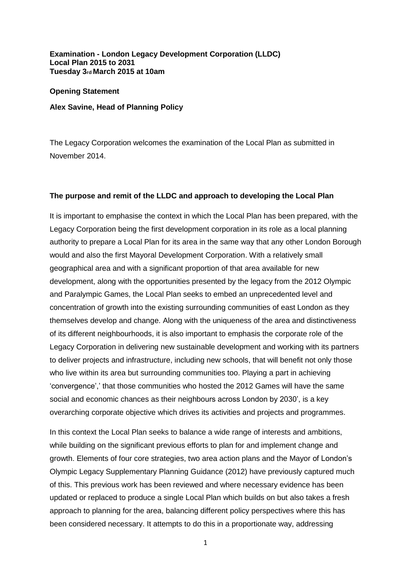# **Examination - London Legacy Development Corporation (LLDC) Local Plan 2015 to 2031 Tuesday 3rd March 2015 at 10am**

## **Opening Statement**

**Alex Savine, Head of Planning Policy**

The Legacy Corporation welcomes the examination of the Local Plan as submitted in November 2014.

# **The purpose and remit of the LLDC and approach to developing the Local Plan**

It is important to emphasise the context in which the Local Plan has been prepared, with the Legacy Corporation being the first development corporation in its role as a local planning authority to prepare a Local Plan for its area in the same way that any other London Borough would and also the first Mayoral Development Corporation. With a relatively small geographical area and with a significant proportion of that area available for new development, along with the opportunities presented by the legacy from the 2012 Olympic and Paralympic Games, the Local Plan seeks to embed an unprecedented level and concentration of growth into the existing surrounding communities of east London as they themselves develop and change. Along with the uniqueness of the area and distinctiveness of its different neighbourhoods, it is also important to emphasis the corporate role of the Legacy Corporation in delivering new sustainable development and working with its partners to deliver projects and infrastructure, including new schools, that will benefit not only those who live within its area but surrounding communities too. Playing a part in achieving 'convergence',' that those communities who hosted the 2012 Games will have the same social and economic chances as their neighbours across London by 2030', is a key overarching corporate objective which drives its activities and projects and programmes.

In this context the Local Plan seeks to balance a wide range of interests and ambitions, while building on the significant previous efforts to plan for and implement change and growth. Elements of four core strategies, two area action plans and the Mayor of London's Olympic Legacy Supplementary Planning Guidance (2012) have previously captured much of this. This previous work has been reviewed and where necessary evidence has been updated or replaced to produce a single Local Plan which builds on but also takes a fresh approach to planning for the area, balancing different policy perspectives where this has been considered necessary. It attempts to do this in a proportionate way, addressing

1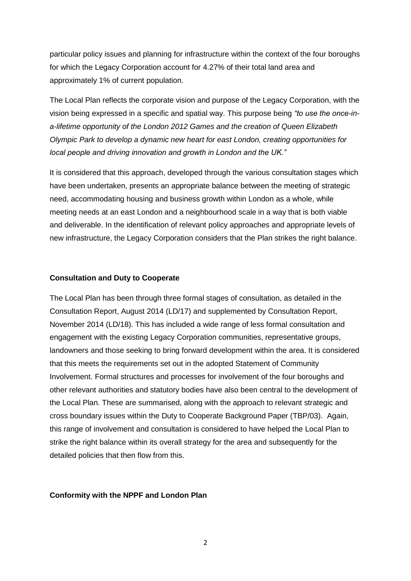particular policy issues and planning for infrastructure within the context of the four boroughs for which the Legacy Corporation account for 4.27% of their total land area and approximately 1% of current population.

The Local Plan reflects the corporate vision and purpose of the Legacy Corporation, with the vision being expressed in a specific and spatial way. This purpose being *"to use the once-ina-lifetime opportunity of the London 2012 Games and the creation of Queen Elizabeth Olympic Park to develop a dynamic new heart for east London, creating opportunities for local people and driving innovation and growth in London and the UK."*

It is considered that this approach, developed through the various consultation stages which have been undertaken, presents an appropriate balance between the meeting of strategic need, accommodating housing and business growth within London as a whole, while meeting needs at an east London and a neighbourhood scale in a way that is both viable and deliverable. In the identification of relevant policy approaches and appropriate levels of new infrastructure, the Legacy Corporation considers that the Plan strikes the right balance.

#### **Consultation and Duty to Cooperate**

The Local Plan has been through three formal stages of consultation, as detailed in the Consultation Report, August 2014 (LD/17) and supplemented by Consultation Report, November 2014 (LD/18). This has included a wide range of less formal consultation and engagement with the existing Legacy Corporation communities, representative groups, landowners and those seeking to bring forward development within the area. It is considered that this meets the requirements set out in the adopted Statement of Community Involvement. Formal structures and processes for involvement of the four boroughs and other relevant authorities and statutory bodies have also been central to the development of the Local Plan. These are summarised, along with the approach to relevant strategic and cross boundary issues within the Duty to Cooperate Background Paper (TBP/03). Again, this range of involvement and consultation is considered to have helped the Local Plan to strike the right balance within its overall strategy for the area and subsequently for the detailed policies that then flow from this.

### **Conformity with the NPPF and London Plan**